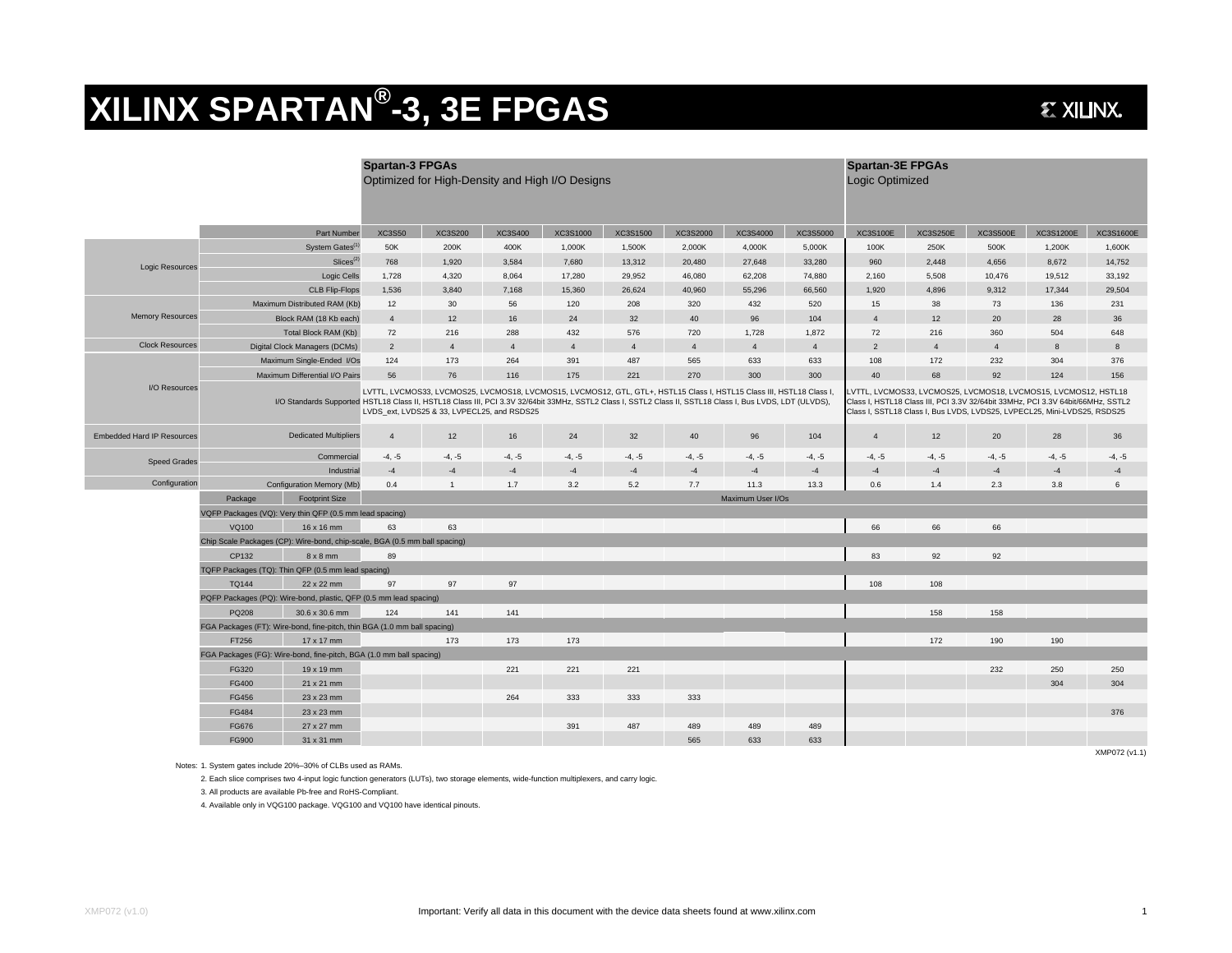## **XILINX SPARTAN ®-3, 3E FPGAS**

## **EXILINX.**

|                                   |                                                                                                                                                                                     |                               | <b>Spartan-3 FPGAs</b><br>Optimized for High-Density and High I/O Designs                                                                                                                                                                                                                                                                                                                                                                                                                                                                                          |                |          |                |                |          | <b>Spartan-3E FPGAs</b><br>Logic Optimized |                |                 |                 |                 |                  |                  |
|-----------------------------------|-------------------------------------------------------------------------------------------------------------------------------------------------------------------------------------|-------------------------------|--------------------------------------------------------------------------------------------------------------------------------------------------------------------------------------------------------------------------------------------------------------------------------------------------------------------------------------------------------------------------------------------------------------------------------------------------------------------------------------------------------------------------------------------------------------------|----------------|----------|----------------|----------------|----------|--------------------------------------------|----------------|-----------------|-----------------|-----------------|------------------|------------------|
|                                   |                                                                                                                                                                                     | Part Number                   | <b>XC3S50</b>                                                                                                                                                                                                                                                                                                                                                                                                                                                                                                                                                      | XC3S200        | XC3S400  | XC3S1000       | XC3S1500       | XC3S2000 | XC3S4000                                   | XC3S5000       | <b>XC3S100E</b> | <b>XC3S250E</b> | <b>XC3S500E</b> | <b>XC3S1200E</b> | <b>XC3S1600E</b> |
| Logic Resources                   | System Gates <sup>(1</sup>                                                                                                                                                          |                               | 50K                                                                                                                                                                                                                                                                                                                                                                                                                                                                                                                                                                | 200K           | 400K     | 1,000K         | 1,500K         | 2,000K   | 4,000K                                     | 5,000K         | 100K            | 250K            | 500K            | 1,200K           | 1,600K           |
|                                   | Slices <sup>(2)</sup>                                                                                                                                                               |                               | 768                                                                                                                                                                                                                                                                                                                                                                                                                                                                                                                                                                | 1,920          | 3,584    | 7,680          | 13,312         | 20,480   | 27,648                                     | 33,280         | 960             | 2,448           | 4,656           | 8,672            | 14,752           |
|                                   | Logic Cells                                                                                                                                                                         |                               | 1,728                                                                                                                                                                                                                                                                                                                                                                                                                                                                                                                                                              | 4,320          | 8,064    | 17,280         | 29,952         | 46,080   | 62,208                                     | 74,880         | 2,160           | 5,508           | 10,476          | 19,512           | 33,192           |
|                                   | <b>CLB Flip-Flops</b>                                                                                                                                                               |                               | 1,536                                                                                                                                                                                                                                                                                                                                                                                                                                                                                                                                                              | 3,840          | 7,168    | 15,360         | 26,624         | 40,960   | 55.296                                     | 66,560         | 1,920           | 4,896           | 9,312           | 17,344           | 29,504           |
| <b>Memory Resources</b>           | Maximum Distributed RAM (Kb)                                                                                                                                                        |                               | 12                                                                                                                                                                                                                                                                                                                                                                                                                                                                                                                                                                 | 30             | 56       | 120            | 208            | 320      | 432                                        | 520            | 15              | 38              | 73              | 136              | 231              |
|                                   | Block RAM (18 Kb each)                                                                                                                                                              |                               | $\overline{4}$                                                                                                                                                                                                                                                                                                                                                                                                                                                                                                                                                     | 12             | 16       | 24             | 32             | 40       | 96                                         | 104            | $\overline{4}$  | 12              | 20              | 28               | 36               |
|                                   | Total Block RAM (Kb)                                                                                                                                                                |                               | 72                                                                                                                                                                                                                                                                                                                                                                                                                                                                                                                                                                 | 216            | 288      | 432            | 576            | 720      | 1,728                                      | 1,872          | 72              | 216             | 360             | 504              | 648              |
| <b>Clock Resources</b>            |                                                                                                                                                                                     | Digital Clock Managers (DCMs) | $\overline{2}$                                                                                                                                                                                                                                                                                                                                                                                                                                                                                                                                                     | $\mathbf{A}$   | $\Delta$ | $\overline{4}$ | $\overline{4}$ | $\Delta$ | $\mathbf{A}$                               | $\overline{4}$ | $\overline{2}$  | $\overline{A}$  | $\overline{4}$  | 8                | 8                |
| I/O Resources                     | Maximum Single-Ended I/Os                                                                                                                                                           |                               | 124                                                                                                                                                                                                                                                                                                                                                                                                                                                                                                                                                                | 173            | 264      | 391            | 487            | 565      | 633                                        | 633            | 108             | 172             | 232             | 304              | 376              |
|                                   | Maximum Differential I/O Pairs                                                                                                                                                      |                               | 56                                                                                                                                                                                                                                                                                                                                                                                                                                                                                                                                                                 | 76             | 116      | 175            | 221            | 270      | 300                                        | 300            | 40              | 68              | 92              | 124              | 156              |
|                                   |                                                                                                                                                                                     |                               | LVTTL, LVCMOS33, LVCMOS25, LVCMOS18, LVCMOS15, LVCMOS12, GTL, GTL+, HSTL15 Class I, HSTL15 Class III, HSTL18 Class I,<br>VTTL. LVCMOS33. LVCMOS25. LVCMOS18. LVCMOS15. LVCMOS12. HSTL18<br>I/O Standards Supported HSTL18 Class II, HSTL18 Class III, PCI 3.3V 32/64bit 33MHz, SSTL2 Class I, SSTL2 Class II, SSTL18 Class I, Bus LVDS, LDT (ULVDS),<br>Class I, HSTL18 Class III, PCI 3.3V 32/64bit 33MHz, PCI 3.3V 64bit/66MHz, SSTL2<br>LVDS ext, LVDS25 & 33, LVPECL25, and RSDS25<br>Class I, SSTL18 Class I, Bus LVDS, LVDS25, LVPECL25, Mini-LVDS25, RSDS25 |                |          |                |                |          |                                            |                |                 |                 |                 |                  |                  |
| <b>Embedded Hard IP Resources</b> | <b>Dedicated Multipliers</b>                                                                                                                                                        |                               | $\overline{4}$                                                                                                                                                                                                                                                                                                                                                                                                                                                                                                                                                     | 12             | 16       | 24             | 32             | 40       | 96                                         | 104            | $\overline{4}$  | 12              | 20              | 28               | 36               |
| <b>Speed Grades</b>               | Commercial                                                                                                                                                                          |                               | $-4, -5$                                                                                                                                                                                                                                                                                                                                                                                                                                                                                                                                                           | $-4, -5$       | $-4, -5$ | $-4, -5$       | $-4, -5$       | $-4, -5$ | $-4, -5$                                   | $-4, -5$       | $-4, -5$        | $-4, -5$        | $-4, -5$        | $-4, -5$         | $-4, -5$         |
|                                   | Industrial                                                                                                                                                                          |                               | $-4$                                                                                                                                                                                                                                                                                                                                                                                                                                                                                                                                                               | $-4$           | $-4$     | $-4$           | $-4$           | $-4$     | $-4$                                       | $-4$           | $-4$            | $-4$            | $-4$            | $-4$             | $-4$             |
| Configuration                     |                                                                                                                                                                                     | Configuration Memory (Mb)     |                                                                                                                                                                                                                                                                                                                                                                                                                                                                                                                                                                    | $\overline{1}$ | 1.7      | 3.2            | 5.2            | 7.7      | 11.3                                       | 13.3           | 0.6             | 1.4             | 2.3             | 3.8              | 6                |
|                                   | Package                                                                                                                                                                             | <b>Footprint Size</b>         | Maximum User I/Os                                                                                                                                                                                                                                                                                                                                                                                                                                                                                                                                                  |                |          |                |                |          |                                            |                |                 |                 |                 |                  |                  |
|                                   | VQFP Packages (VQ): Very thin QFP (0.5 mm lead spacing)                                                                                                                             |                               |                                                                                                                                                                                                                                                                                                                                                                                                                                                                                                                                                                    |                |          |                |                |          |                                            |                |                 |                 |                 |                  |                  |
|                                   | VQ100<br>16 x 16 mm<br>Chip Scale Packages (CP): Wire-bond, chip-scale, BGA (0.5 mm ball spacing)<br>CP132<br>$8 \times 8$ mm<br>TQFP Packages (TQ): Thin QFP (0.5 mm lead spacing) |                               | 63                                                                                                                                                                                                                                                                                                                                                                                                                                                                                                                                                                 | 63             |          |                |                |          |                                            |                | 66              | 66              | 66              |                  |                  |
|                                   |                                                                                                                                                                                     |                               |                                                                                                                                                                                                                                                                                                                                                                                                                                                                                                                                                                    |                |          |                |                |          |                                            |                |                 |                 |                 |                  |                  |
|                                   |                                                                                                                                                                                     |                               | 89                                                                                                                                                                                                                                                                                                                                                                                                                                                                                                                                                                 |                |          |                |                |          |                                            |                | 83              | 92              | 92              |                  |                  |
|                                   |                                                                                                                                                                                     |                               |                                                                                                                                                                                                                                                                                                                                                                                                                                                                                                                                                                    |                |          |                |                |          |                                            |                |                 |                 |                 |                  |                  |
|                                   | <b>TO144</b>                                                                                                                                                                        | 22 x 22 mm                    | 97                                                                                                                                                                                                                                                                                                                                                                                                                                                                                                                                                                 | 97             | 97       |                |                |          |                                            |                | 108             | 108             |                 |                  |                  |
|                                   | PQFP Packages (PQ): Wire-bond, plastic, QFP (0.5 mm lead spacing)                                                                                                                   |                               |                                                                                                                                                                                                                                                                                                                                                                                                                                                                                                                                                                    |                |          |                |                |          |                                            |                |                 |                 |                 |                  |                  |
|                                   | PQ208                                                                                                                                                                               | 30.6 x 30.6 mm                | 124                                                                                                                                                                                                                                                                                                                                                                                                                                                                                                                                                                | 141            | 141      |                |                |          |                                            |                |                 | 158             | 158             |                  |                  |
|                                   | FGA Packages (FT): Wire-bond, fine-pitch, thin BGA (1.0 mm ball spacing)                                                                                                            |                               |                                                                                                                                                                                                                                                                                                                                                                                                                                                                                                                                                                    |                |          |                |                |          |                                            |                |                 |                 |                 |                  |                  |
|                                   | FT256                                                                                                                                                                               | 17 x 17 mm                    |                                                                                                                                                                                                                                                                                                                                                                                                                                                                                                                                                                    | 173            | 173      | 173            |                |          |                                            |                |                 | 172             | 190             | 190              |                  |
|                                   | FGA Packages (FG): Wire-bond, fine-pitch, BGA (1.0 mm ball spacing)                                                                                                                 |                               |                                                                                                                                                                                                                                                                                                                                                                                                                                                                                                                                                                    |                |          |                |                |          |                                            |                |                 |                 |                 |                  |                  |
|                                   | FG320                                                                                                                                                                               | 19 x 19 mm                    |                                                                                                                                                                                                                                                                                                                                                                                                                                                                                                                                                                    |                | 221      | 221            | 221            |          |                                            |                |                 |                 | 232             | 250              | 250              |
|                                   | FG400                                                                                                                                                                               | 21 x 21 mm                    |                                                                                                                                                                                                                                                                                                                                                                                                                                                                                                                                                                    |                |          |                |                |          |                                            |                |                 |                 |                 | 304              | 304              |
|                                   | <b>FG456</b>                                                                                                                                                                        | 23 x 23 mm                    |                                                                                                                                                                                                                                                                                                                                                                                                                                                                                                                                                                    |                | 264      | 333            | 333            | 333      |                                            |                |                 |                 |                 |                  |                  |
|                                   | FG484                                                                                                                                                                               | 23 x 23 mm                    |                                                                                                                                                                                                                                                                                                                                                                                                                                                                                                                                                                    |                |          |                |                |          |                                            |                |                 |                 |                 |                  | 376              |
|                                   | <b>FG676</b>                                                                                                                                                                        | 27 x 27 mm                    |                                                                                                                                                                                                                                                                                                                                                                                                                                                                                                                                                                    |                |          | 391            | 487            | 489      | 489                                        | 489            |                 |                 |                 |                  |                  |
|                                   | FG900                                                                                                                                                                               | 31 x 31 mm                    |                                                                                                                                                                                                                                                                                                                                                                                                                                                                                                                                                                    |                |          |                |                | 565      | 633                                        | 633            |                 |                 |                 |                  |                  |
|                                   |                                                                                                                                                                                     |                               |                                                                                                                                                                                                                                                                                                                                                                                                                                                                                                                                                                    |                |          |                |                |          |                                            |                |                 |                 |                 |                  | XMP072 (v1.1)    |

Notes: 1. System gates include 20%–30% of CLBs used as RAMs.

2. Each slice comprises two 4-input logic function generators (LUTs), two storage elements, wide-function multiplexers, and carry logic.

3. All products are available Pb-free and RoHS-Compliant.

4. Available only in VQG100 package. VQG100 and VQ100 have identical pinouts.